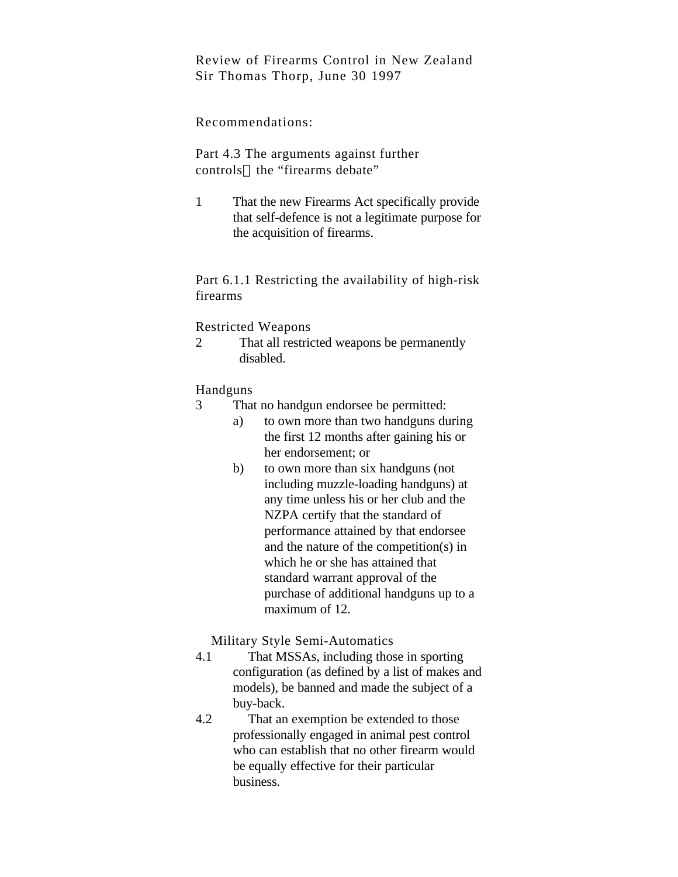Review of Firearms Control in New Zealand Sir Thomas Thorp, June 30 1997

# Recommendations:

Part 4.3 The arguments against further controls—the "firearms debate"

1 That the new Firearms Act specifically provide that self-defence is not a legitimate purpose for the acquisition of firearms.

Part 6.1.1 Restricting the availability of high-risk firearms

# Restricted Weapons

2 That all restricted weapons be permanently disabled.

# Handguns

- 3 That no handgun endorsee be permitted:
	- a) to own more than two handguns during the first 12 months after gaining his or her endorsement; or
	- b) to own more than six handguns (not including muzzle-loading handguns) at any time unless his or her club and the NZPA certify that the standard of performance attained by that endorsee and the nature of the competition(s) in which he or she has attained that standard warrant approval of the purchase of additional handguns up to a maximum of 12.

Military Style Semi-Automatics

- 4.1 That MSSAs, including those in sporting configuration (as defined by a list of makes and models), be banned and made the subject of a buy-back.
- 4.2 That an exemption be extended to those professionally engaged in animal pest control who can establish that no other firearm would be equally effective for their particular business.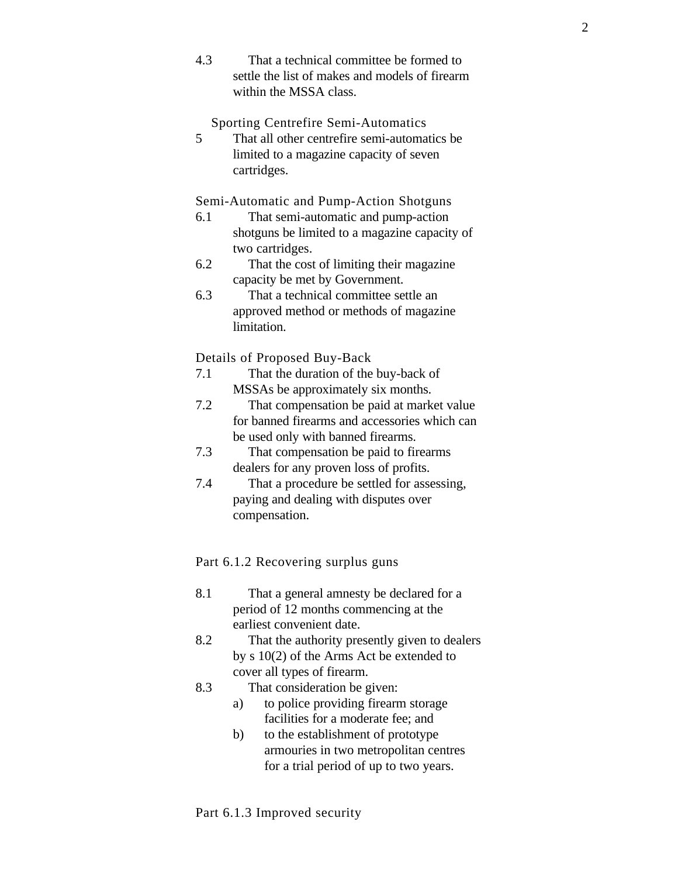4.3 That a technical committee be formed to settle the list of makes and models of firearm within the MSSA class.

Sporting Centrefire Semi-Automatics

5 That all other centrefire semi-automatics be limited to a magazine capacity of seven cartridges.

Semi-Automatic and Pump-Action Shotguns

- 6.1 That semi-automatic and pump-action shotguns be limited to a magazine capacity of two cartridges.
- 6.2 That the cost of limiting their magazine capacity be met by Government.
- 6.3 That a technical committee settle an approved method or methods of magazine limitation.

Details of Proposed Buy-Back

- 7.1 That the duration of the buy-back of MSSAs be approximately six months.
- 7.2 That compensation be paid at market value for banned firearms and accessories which can be used only with banned firearms.
- 7.3 That compensation be paid to firearms dealers for any proven loss of profits.
- 7.4 That a procedure be settled for assessing, paying and dealing with disputes over compensation.

Part 6.1.2 Recovering surplus guns

- 8.1 That a general amnesty be declared for a period of 12 months commencing at the earliest convenient date.
- 8.2 That the authority presently given to dealers by s 10(2) of the Arms Act be extended to cover all types of firearm.
- 8.3 That consideration be given:
	- a) to police providing firearm storage facilities for a moderate fee; and
	- b) to the establishment of prototype armouries in two metropolitan centres for a trial period of up to two years.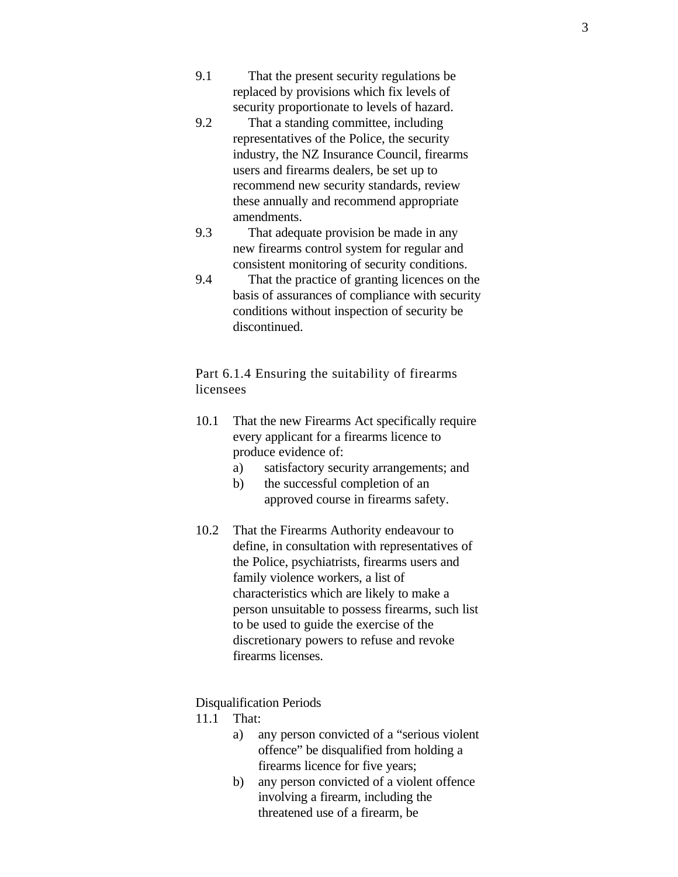- 9.1 That the present security regulations be replaced by provisions which fix levels of security proportionate to levels of hazard.
- 9.2 That a standing committee, including representatives of the Police, the security industry, the NZ Insurance Council, firearms users and firearms dealers, be set up to recommend new security standards, review these annually and recommend appropriate amendments.
- 9.3 That adequate provision be made in any new firearms control system for regular and consistent monitoring of security conditions.
- 9.4 That the practice of granting licences on the basis of assurances of compliance with security conditions without inspection of security be discontinued.

Part 6.1.4 Ensuring the suitability of firearms licensees

- 10.1 That the new Firearms Act specifically require every applicant for a firearms licence to produce evidence of:
	- a) satisfactory security arrangements; and
	- b) the successful completion of an approved course in firearms safety.
- 10.2 That the Firearms Authority endeavour to define, in consultation with representatives of the Police, psychiatrists, firearms users and family violence workers, a list of characteristics which are likely to make a person unsuitable to possess firearms, such list to be used to guide the exercise of the discretionary powers to refuse and revoke firearms licenses.

#### Disqualification Periods

- 11.1 That:
	- a) any person convicted of a "serious violent offence" be disqualified from holding a firearms licence for five years;
	- b) any person convicted of a violent offence involving a firearm, including the threatened use of a firearm, be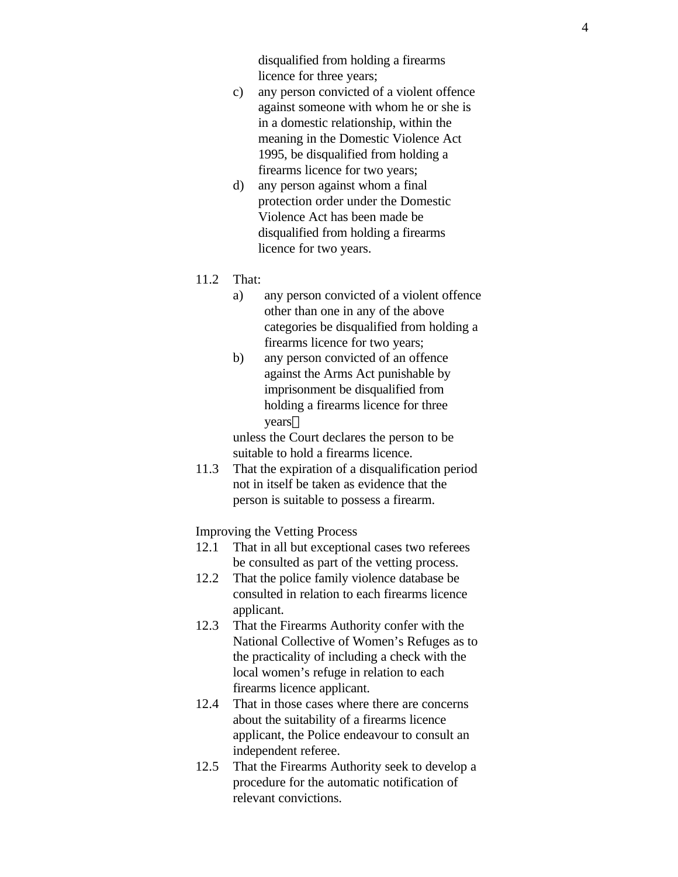disqualified from holding a firearms licence for three years;

- c) any person convicted of a violent offence against someone with whom he or she is in a domestic relationship, within the meaning in the Domestic Violence Act 1995, be disqualified from holding a firearms licence for two years;
- d) any person against whom a final protection order under the Domestic Violence Act has been made be disqualified from holding a firearms licence for two years.
- 11.2 That:
	- a) any person convicted of a violent offence other than one in any of the above categories be disqualified from holding a firearms licence for two years;
	- b) any person convicted of an offence against the Arms Act punishable by imprisonment be disqualified from holding a firearms licence for three years

unless the Court declares the person to be suitable to hold a firearms licence.

11.3 That the expiration of a disqualification period not in itself be taken as evidence that the person is suitable to possess a firearm.

Improving the Vetting Process

- 12.1 That in all but exceptional cases two referees be consulted as part of the vetting process.
- 12.2 That the police family violence database be consulted in relation to each firearms licence applicant.
- 12.3 That the Firearms Authority confer with the National Collective of Women's Refuges as to the practicality of including a check with the local women's refuge in relation to each firearms licence applicant.
- 12.4 That in those cases where there are concerns about the suitability of a firearms licence applicant, the Police endeavour to consult an independent referee.
- 12.5 That the Firearms Authority seek to develop a procedure for the automatic notification of relevant convictions.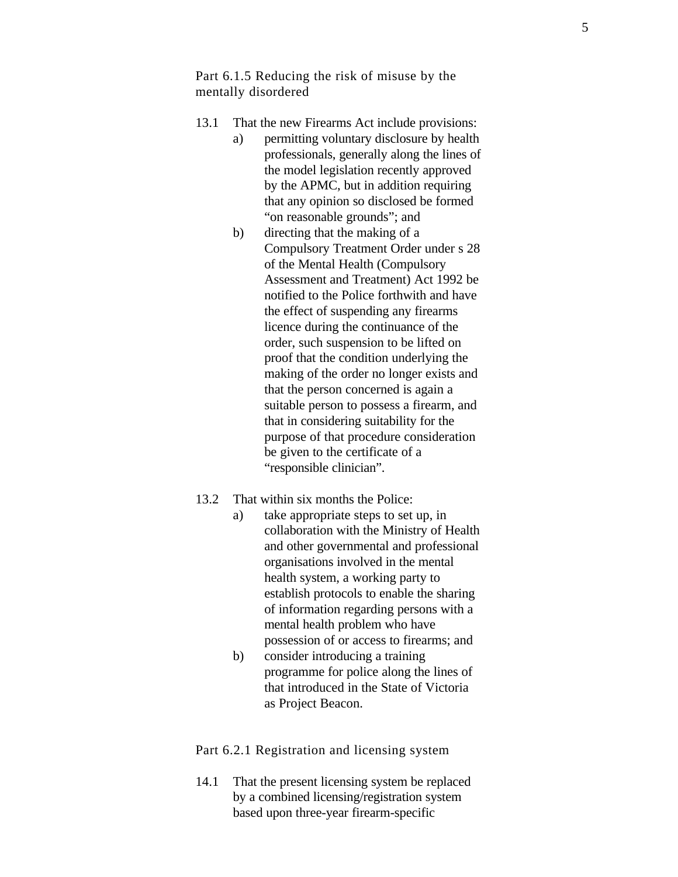Part 6.1.5 Reducing the risk of misuse by the mentally disordered

- 13.1 That the new Firearms Act include provisions:
	- a) permitting voluntary disclosure by health professionals, generally along the lines of the model legislation recently approved by the APMC, but in addition requiring that any opinion so disclosed be formed "on reasonable grounds"; and
	- b) directing that the making of a Compulsory Treatment Order under s 28 of the Mental Health (Compulsory Assessment and Treatment) Act 1992 be notified to the Police forthwith and have the effect of suspending any firearms licence during the continuance of the order, such suspension to be lifted on proof that the condition underlying the making of the order no longer exists and that the person concerned is again a suitable person to possess a firearm, and that in considering suitability for the purpose of that procedure consideration be given to the certificate of a "responsible clinician".
- 13.2 That within six months the Police:
	- a) take appropriate steps to set up, in collaboration with the Ministry of Health and other governmental and professional organisations involved in the mental health system, a working party to establish protocols to enable the sharing of information regarding persons with a mental health problem who have possession of or access to firearms; and
	- b) consider introducing a training programme for police along the lines of that introduced in the State of Victoria as Project Beacon.

Part 6.2.1 Registration and licensing system

14.1 That the present licensing system be replaced by a combined licensing/registration system based upon three-year firearm-specific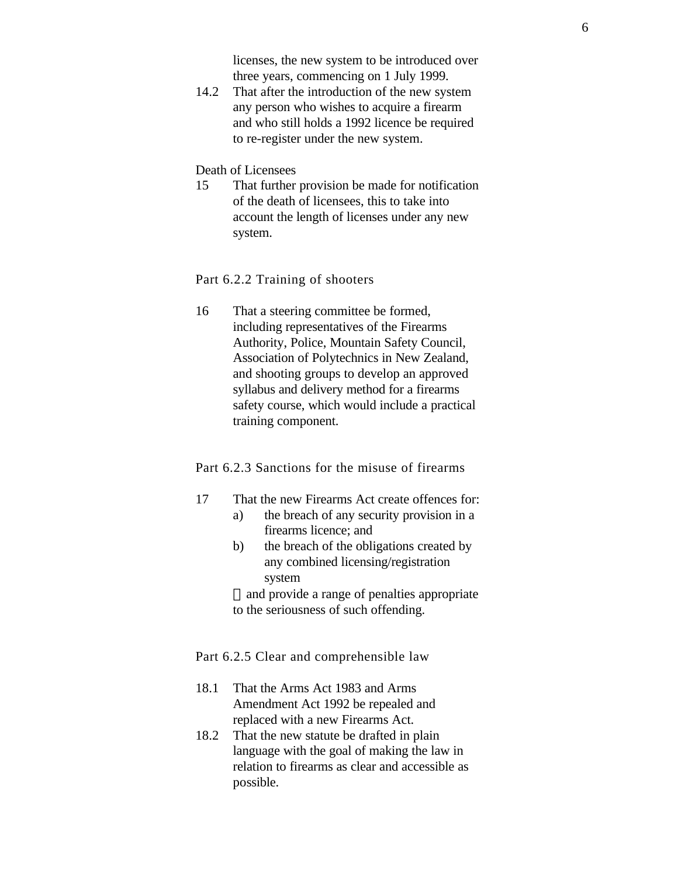licenses, the new system to be introduced over three years, commencing on 1 July 1999.

14.2 That after the introduction of the new system any person who wishes to acquire a firearm and who still holds a 1992 licence be required to re-register under the new system.

#### Death of Licensees

15 That further provision be made for notification of the death of licensees, this to take into account the length of licenses under any new system.

# Part 6.2.2 Training of shooters

16 That a steering committee be formed, including representatives of the Firearms Authority, Police, Mountain Safety Council, Association of Polytechnics in New Zealand, and shooting groups to develop an approved syllabus and delivery method for a firearms safety course, which would include a practical training component.

# Part 6.2.3 Sanctions for the misuse of firearms

- 17 That the new Firearms Act create offences for:
	- a) the breach of any security provision in a firearms licence; and
	- b) the breach of the obligations created by any combined licensing/registration system

—and provide a range of penalties appropriate to the seriousness of such offending.

Part 6.2.5 Clear and comprehensible law

- 18.1 That the Arms Act 1983 and Arms Amendment Act 1992 be repealed and replaced with a new Firearms Act.
- 18.2 That the new statute be drafted in plain language with the goal of making the law in relation to firearms as clear and accessible as possible.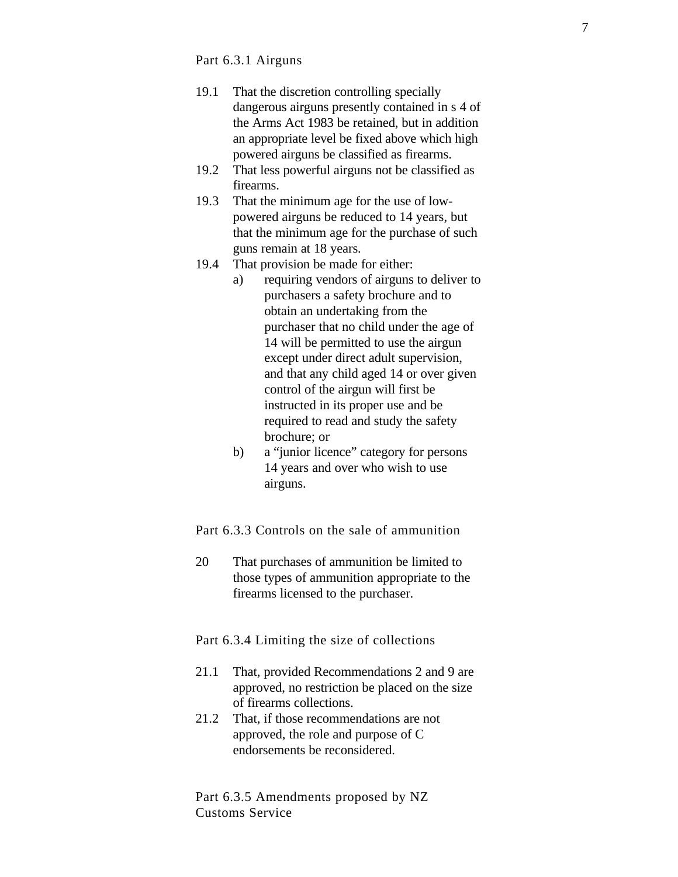#### Part 6.3.1 Airguns

- 19.1 That the discretion controlling specially dangerous airguns presently contained in s 4 of the Arms Act 1983 be retained, but in addition an appropriate level be fixed above which high powered airguns be classified as firearms.
- 19.2 That less powerful airguns not be classified as firearms.
- 19.3 That the minimum age for the use of lowpowered airguns be reduced to 14 years, but that the minimum age for the purchase of such guns remain at 18 years.
- 19.4 That provision be made for either:
	- a) requiring vendors of airguns to deliver to purchasers a safety brochure and to obtain an undertaking from the purchaser that no child under the age of 14 will be permitted to use the airgun except under direct adult supervision, and that any child aged 14 or over given control of the airgun will first be instructed in its proper use and be required to read and study the safety brochure; or
	- b) a "junior licence" category for persons 14 years and over who wish to use airguns.

Part 6.3.3 Controls on the sale of ammunition

20 That purchases of ammunition be limited to those types of ammunition appropriate to the firearms licensed to the purchaser.

Part 6.3.4 Limiting the size of collections

- 21.1 That, provided Recommendations 2 and 9 are approved, no restriction be placed on the size of firearms collections.
- 21.2 That, if those recommendations are not approved, the role and purpose of C endorsements be reconsidered.

Part 6.3.5 Amendments proposed by NZ Customs Service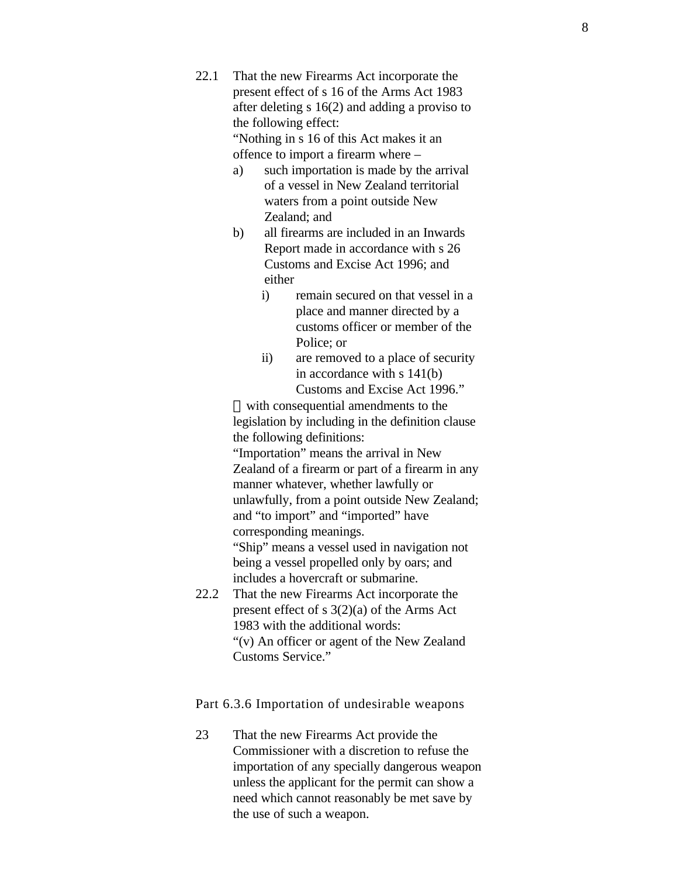22.1 That the new Firearms Act incorporate the present effect of s 16 of the Arms Act 1983 after deleting s 16(2) and adding a proviso to the following effect: "Nothing in s 16 of this Act makes it an

offence to import a firearm where –

- a) such importation is made by the arrival of a vessel in New Zealand territorial waters from a point outside New Zealand; and
- b) all firearms are included in an Inwards Report made in accordance with s 26 Customs and Excise Act 1996; and either
	- i) remain secured on that vessel in a place and manner directed by a customs officer or member of the Police; or
	- ii) are removed to a place of security in accordance with s 141(b) Customs and Excise Act 1996."

with consequential amendments to the legislation by including in the definition clause the following definitions:

"Importation" means the arrival in New Zealand of a firearm or part of a firearm in any manner whatever, whether lawfully or unlawfully, from a point outside New Zealand; and "to import" and "imported" have corresponding meanings. "Ship" means a vessel used in navigation not

being a vessel propelled only by oars; and includes a hovercraft or submarine.

22.2 That the new Firearms Act incorporate the present effect of s 3(2)(a) of the Arms Act 1983 with the additional words: "(v) An officer or agent of the New Zealand Customs Service."

Part 6.3.6 Importation of undesirable weapons

23 That the new Firearms Act provide the Commissioner with a discretion to refuse the importation of any specially dangerous weapon unless the applicant for the permit can show a need which cannot reasonably be met save by the use of such a weapon.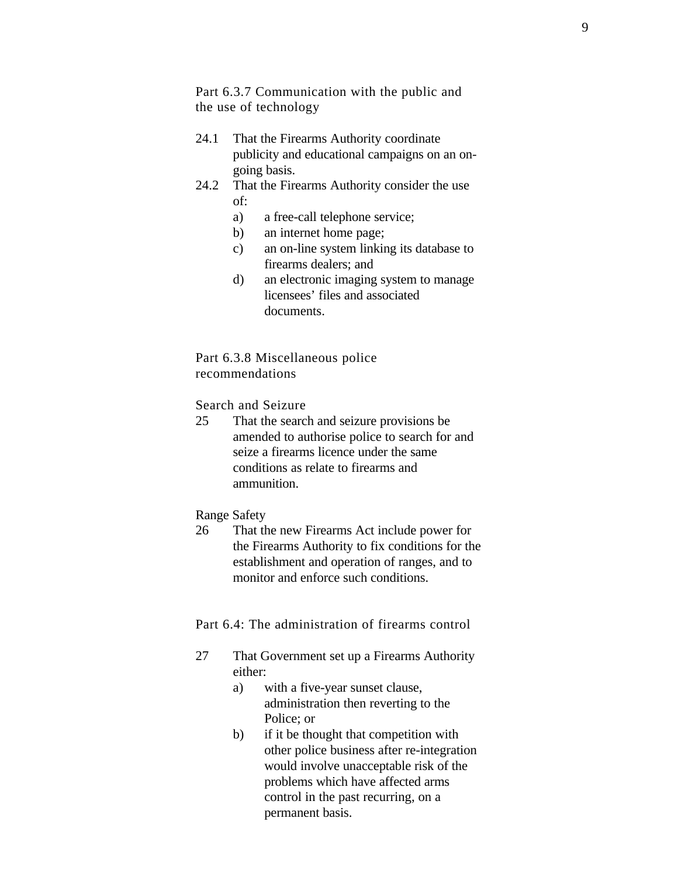Part 6.3.7 Communication with the public and the use of technology

- 24.1 That the Firearms Authority coordinate publicity and educational campaigns on an ongoing basis.
- 24.2 That the Firearms Authority consider the use of:
	- a) a free-call telephone service;
	- b) an internet home page;
	- c) an on-line system linking its database to firearms dealers; and
	- d) an electronic imaging system to manage licensees' files and associated documents.

Part 6.3.8 Miscellaneous police recommendations

#### Search and Seizure

25 That the search and seizure provisions be amended to authorise police to search for and seize a firearms licence under the same conditions as relate to firearms and ammunition.

#### Range Safety

26 That the new Firearms Act include power for the Firearms Authority to fix conditions for the establishment and operation of ranges, and to monitor and enforce such conditions.

Part 6.4: The administration of firearms control

- 27 That Government set up a Firearms Authority either:
	- a) with a five-year sunset clause, administration then reverting to the Police; or
	- b) if it be thought that competition with other police business after re-integration would involve unacceptable risk of the problems which have affected arms control in the past recurring, on a permanent basis.